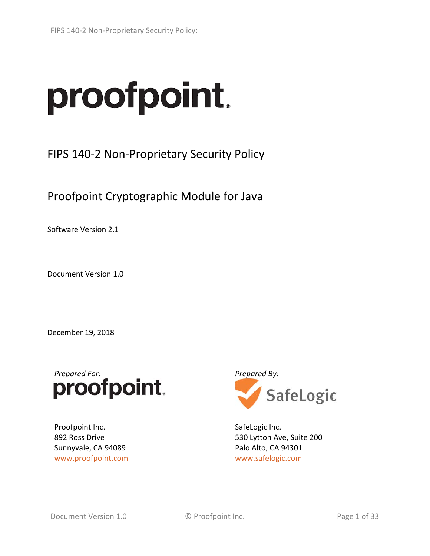# proofpoint.

FIPS 140‐2 Non‐Proprietary Security Policy

Proofpoint Cryptographic Module for Java

Software Version 2.1

Document Version 1.0

December 19, 2018



Proofpoint Inc. 892 Ross Drive Sunnyvale, CA 94089 www.proofpoint.com



SafeLogic Inc. 530 Lytton Ave, Suite 200 Palo Alto, CA 94301 www.safelogic.com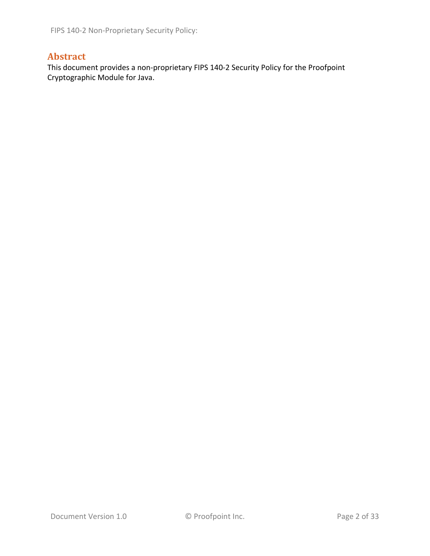# **Abstract**

This document provides a non‐proprietary FIPS 140‐2 Security Policy for the Proofpoint Cryptographic Module for Java.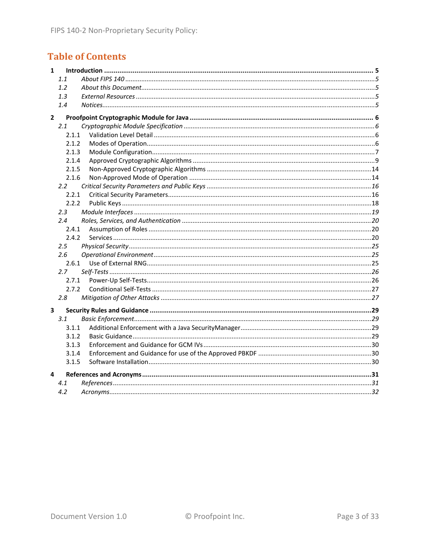# **Table of Contents**

| 1            |               |  |
|--------------|---------------|--|
|              | 1.1           |  |
|              | 1.2           |  |
|              | 1.3           |  |
|              | 1.4           |  |
| $\mathbf{2}$ |               |  |
|              | 2.1           |  |
|              | 2.1.1         |  |
|              | 2.1.2         |  |
|              | 2.1.3         |  |
|              | 2.1.4         |  |
|              | 2.1.5         |  |
|              | 2.1.6         |  |
|              | $2.2^{\circ}$ |  |
|              | 2.2.1         |  |
|              | 2.2.2         |  |
|              | 2.3           |  |
|              | 2.4           |  |
|              | 2.4.1         |  |
|              | 2.4.2         |  |
|              | 2.5           |  |
|              | 2.6           |  |
|              | 2.6.1         |  |
|              | 2.7           |  |
|              | 2.7.1         |  |
|              | 2.7.2         |  |
|              | 2.8           |  |
| 3            |               |  |
|              | 3.1           |  |
|              | 3.1.1         |  |
|              | 3.1.2         |  |
|              | 3.1.3         |  |
|              | 3.1.4         |  |
|              | 3.1.5         |  |
| 4            |               |  |
|              | 4.1           |  |
|              | 4.2           |  |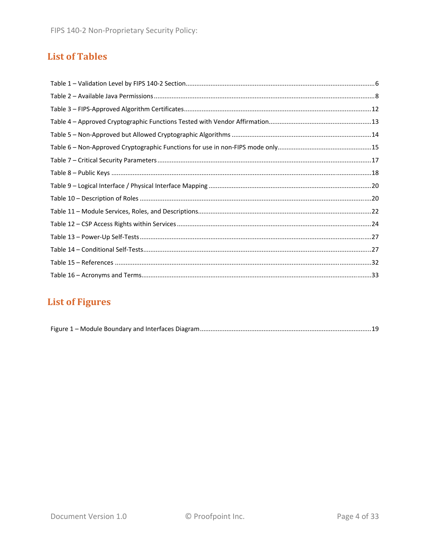# **List of Tables**

# **List of Figures**

|--|--|--|--|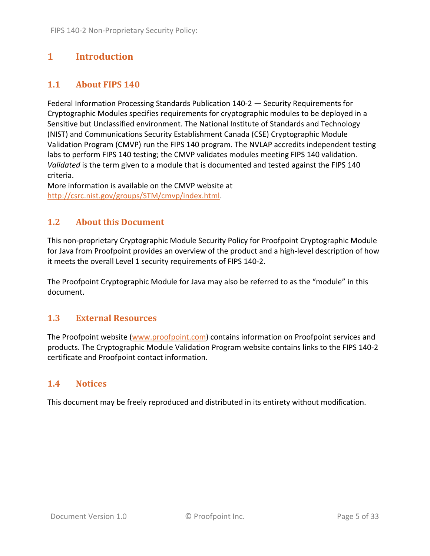# **1 Introduction**

# **1.1 About FIPS 140**

Federal Information Processing Standards Publication 140‐2 — Security Requirements for Cryptographic Modules specifies requirements for cryptographic modules to be deployed in a Sensitive but Unclassified environment. The National Institute of Standards and Technology (NIST) and Communications Security Establishment Canada (CSE) Cryptographic Module Validation Program (CMVP) run the FIPS 140 program. The NVLAP accredits independent testing labs to perform FIPS 140 testing; the CMVP validates modules meeting FIPS 140 validation. *Validated* is the term given to a module that is documented and tested against the FIPS 140 criteria.

More information is available on the CMVP website at http://csrc.nist.gov/groups/STM/cmvp/index.html.

## **1.2 About this Document**

This non‐proprietary Cryptographic Module Security Policy for Proofpoint Cryptographic Module for Java from Proofpoint provides an overview of the product and a high‐level description of how it meets the overall Level 1 security requirements of FIPS 140‐2.

The Proofpoint Cryptographic Module for Java may also be referred to as the "module" in this document.

## **1.3 External Resources**

The Proofpoint website (www.proofpoint.com) contains information on Proofpoint services and products. The Cryptographic Module Validation Program website contains links to the FIPS 140‐2 certificate and Proofpoint contact information.

## **1.4 Notices**

This document may be freely reproduced and distributed in its entirety without modification.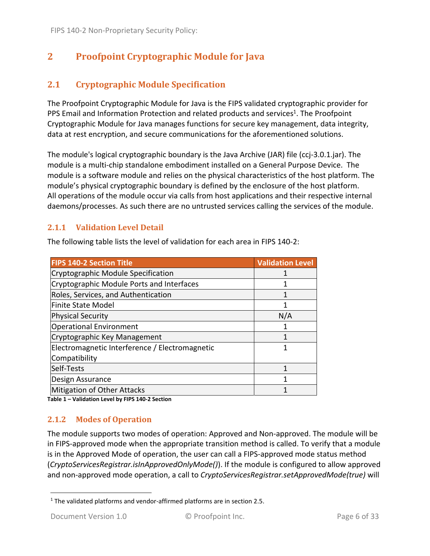# **2 Proofpoint Cryptographic Module for Java**

# **2.1 Cryptographic Module Specification**

The Proofpoint Cryptographic Module for Java is the FIPS validated cryptographic provider for PPS Email and Information Protection and related products and services<sup>1</sup>. The Proofpoint Cryptographic Module for Java manages functions for secure key management, data integrity, data at rest encryption, and secure communications for the aforementioned solutions.

The module's logical cryptographic boundary is the Java Archive (JAR) file (ccj-3.0.1.jar). The module is a multi‐chip standalone embodiment installed on a General Purpose Device. The module is a software module and relies on the physical characteristics of the host platform. The module's physical cryptographic boundary is defined by the enclosure of the host platform. All operations of the module occur via calls from host applications and their respective internal daemons/processes. As such there are no untrusted services calling the services of the module.

#### **2.1.1 Validation Level Detail**

The following table lists the level of validation for each area in FIPS 140‐2:

| <b>FIPS 140-2 Section Title</b>                | <b>Validation Level</b> |
|------------------------------------------------|-------------------------|
| Cryptographic Module Specification             |                         |
| Cryptographic Module Ports and Interfaces      | 1                       |
| Roles, Services, and Authentication            | 1                       |
| Finite State Model                             | 1                       |
| <b>Physical Security</b>                       | N/A                     |
| <b>Operational Environment</b>                 |                         |
| Cryptographic Key Management                   | 1                       |
| Electromagnetic Interference / Electromagnetic |                         |
| Compatibility                                  |                         |
| Self-Tests                                     | 1                       |
| Design Assurance                               |                         |
| Mitigation of Other Attacks                    |                         |

**Table 1 – Validation Level by FIPS 140‐2 Section**

## **2.1.2 Modes of Operation**

The module supports two modes of operation: Approved and Non‐approved. The module will be in FIPS‐approved mode when the appropriate transition method is called. To verify that a module is in the Approved Mode of operation, the user can call a FIPS‐approved mode status method (*CryptoServicesRegistrar.isInApprovedOnlyMode()*). If the module is configured to allow approved and non‐approved mode operation, a call to *CryptoServicesRegistrar.setApprovedMode(true)* will

  $1$  The validated platforms and vendor-affirmed platforms are in section 2.5.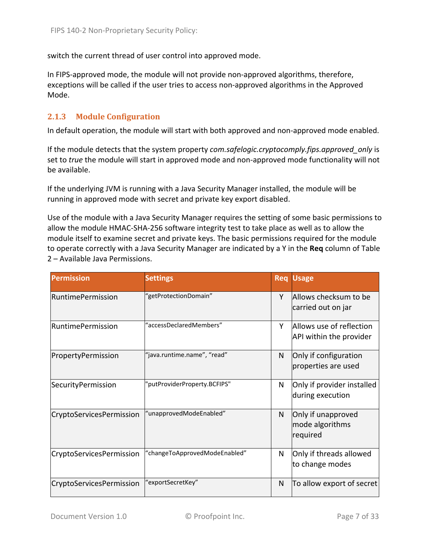switch the current thread of user control into approved mode.

In FIPS-approved mode, the module will not provide non-approved algorithms, therefore, exceptions will be called if the user tries to access non‐approved algorithms in the Approved Mode.

#### **2.1.3 Module Configuration**

In default operation, the module will start with both approved and non‐approved mode enabled.

If the module detects that the system property *com.safelogic.cryptocomply.fips.approved\_only* is set to *true* the module will start in approved mode and non‐approved mode functionality will not be available.

If the underlying JVM is running with a Java Security Manager installed, the module will be running in approved mode with secret and private key export disabled.

Use of the module with a Java Security Manager requires the setting of some basic permissions to allow the module HMAC‐SHA‐256 software integrity test to take place as well as to allow the module itself to examine secret and private keys. The basic permissions required for the module to operate correctly with a Java Security Manager are indicated by a Y in the **Req** column of Table 2 – Available Java Permissions.

| <b>Permission</b>        | <b>Settings</b>               |              | <b>Req Usage</b>                                    |
|--------------------------|-------------------------------|--------------|-----------------------------------------------------|
| <b>RuntimePermission</b> | "getProtectionDomain"         | Y            | Allows checksum to be<br>carried out on jar         |
| <b>RuntimePermission</b> | "accessDeclaredMembers"       | Y            | Allows use of reflection<br>API within the provider |
| PropertyPermission       | "java.runtime.name", "read"   | N            | Only if configuration<br>properties are used        |
| Security Permission      | "putProviderProperty.BCFIPS"  | N            | Only if provider installed<br>during execution      |
| CryptoServicesPermission | "unapprovedModeEnabled"       | N            | Only if unapproved<br>mode algorithms<br>required   |
| CryptoServicesPermission | "changeToApprovedModeEnabled" | N            | Only if threads allowed<br>to change modes          |
| CryptoServicesPermission | "exportSecretKey"             | $\mathsf{N}$ | To allow export of secret                           |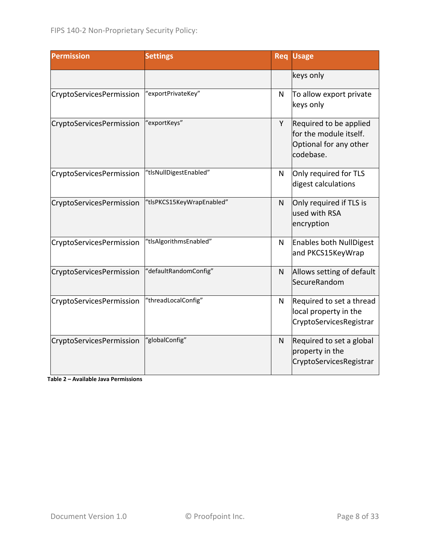| <b>Permission</b>        | <b>Settings</b>           |              | <b>Usage</b>                                                                            |
|--------------------------|---------------------------|--------------|-----------------------------------------------------------------------------------------|
|                          |                           |              | keys only                                                                               |
| CryptoServicesPermission | "exportPrivateKey"        | N            | To allow export private<br>keys only                                                    |
| CryptoServicesPermission | "exportKeys"              | Y            | Required to be applied<br>for the module itself.<br>Optional for any other<br>codebase. |
| CryptoServicesPermission | "tlsNullDigestEnabled"    | N            | Only required for TLS<br>digest calculations                                            |
| CryptoServicesPermission | "tlsPKCS15KeyWrapEnabled" | $\mathsf{N}$ | Only required if TLS is<br>used with RSA<br>encryption                                  |
| CryptoServicesPermission | "tlsAlgorithmsEnabled"    | N            | <b>Enables both NullDigest</b><br>and PKCS15KeyWrap                                     |
| CryptoServicesPermission | "defaultRandomConfig"     | N            | Allows setting of default<br>SecureRandom                                               |
| CryptoServicesPermission | "threadLocalConfig"       | N            | Required to set a thread<br>local property in the<br>CryptoServicesRegistrar            |
| CryptoServicesPermission | 'globalConfig"            | N            | Required to set a global<br>property in the<br>CryptoServicesRegistrar                  |

**Table 2 – Available Java Permissions**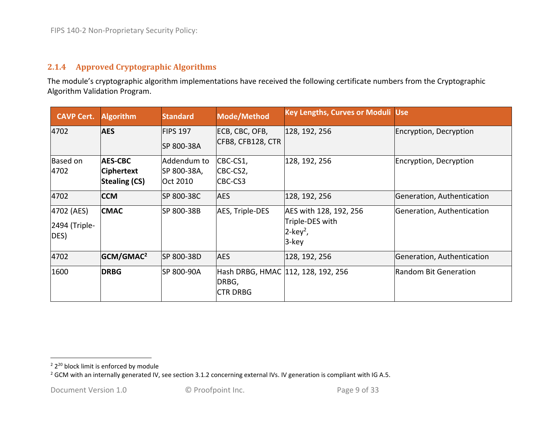#### **2.1.4 Approved Cryptographic Algorithms**

The module's cryptographic algorithm implementations have received the following certificate numbers from the Cryptographic Algorithm Validation Program.

| <b>CAVP Cert.</b>                   | <b>Algorithm</b>                                            | <b>Standard</b>                        | Mode/Method                                                    | <b>Key Lengths, Curves or Moduli Use</b>                                      |                            |
|-------------------------------------|-------------------------------------------------------------|----------------------------------------|----------------------------------------------------------------|-------------------------------------------------------------------------------|----------------------------|
| 4702                                | <b>AES</b>                                                  | <b>FIPS 197</b><br>SP 800-38A          | ECB, CBC, OFB,<br>CFB8, CFB128, CTR                            | 128, 192, 256                                                                 | Encryption, Decryption     |
| Based on<br>4702                    | <b>AES-CBC</b><br><b>Ciphertext</b><br><b>Stealing (CS)</b> | Addendum to<br>SP 800-38A,<br>Oct 2010 | CBC-CS1,<br>CBC-CS2,<br>CBC-CS3                                | 128, 192, 256                                                                 | Encryption, Decryption     |
| 4702                                | <b>CCM</b>                                                  | SP 800-38C                             | <b>AES</b>                                                     | 128, 192, 256                                                                 | Generation, Authentication |
| 4702 (AES)<br>2494 (Triple-<br>DES) | <b>CMAC</b>                                                 | SP 800-38B                             | AES, Triple-DES                                                | AES with 128, 192, 256<br>Triple-DES with<br>$2$ -key <sup>2</sup> ,<br>3-key | Generation, Authentication |
| 4702                                | GCM/GMAC <sup>2</sup>                                       | SP 800-38D                             | <b>AES</b>                                                     | 128, 192, 256                                                                 | Generation, Authentication |
| 1600                                | <b>DRBG</b>                                                 | ISP 800-90A                            | Hash DRBG, HMAC 112, 128, 192, 256<br>DRBG,<br><b>CTR DRBG</b> |                                                                               | Random Bit Generation      |

<sup>&</sup>lt;sup>2</sup> 2<sup>20</sup> block limit is enforced by module

<sup>&</sup>lt;sup>2</sup> GCM with an internally generated IV, see section 3.1.2 concerning external IVs. IV generation is compliant with IG A.5.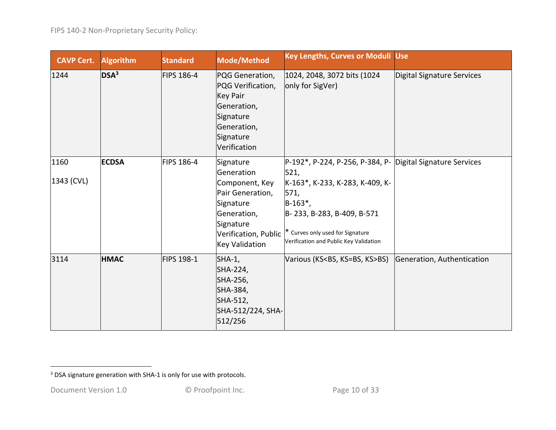| <b>CAVP Cert.</b>  | <b>Algorithm</b> | <b>Standard</b>   | Mode/Method                                                                                                                     | <b>Key Lengths, Curves or Moduli Use</b>                                                                                                                                                                                                                       |                            |
|--------------------|------------------|-------------------|---------------------------------------------------------------------------------------------------------------------------------|----------------------------------------------------------------------------------------------------------------------------------------------------------------------------------------------------------------------------------------------------------------|----------------------------|
| 1244               | DSA <sup>3</sup> | <b>FIPS 186-4</b> | PQG Generation,<br>PQG Verification,<br><b>Key Pair</b><br>Generation,<br>Signature<br>Generation,<br>Signature<br>Verification | 1024, 2048, 3072 bits (1024)<br>only for SigVer)                                                                                                                                                                                                               | Digital Signature Services |
| 1160<br>1343 (CVL) | <b>ECDSA</b>     | <b>FIPS 186-4</b> | Signature<br>Generation<br>Component, Key<br>Pair Generation,<br>Signature<br>Generation,<br>Signature<br><b>Key Validation</b> | P-192*, P-224, P-256, P-384, P- Digital Signature Services<br>521,<br>K-163*, K-233, K-283, K-409, K-<br>571,<br>$ B-163^* $<br>B-233, B-283, B-409, B-571<br>Verification, Public  * Curves only used for Signature<br>Verification and Public Key Validation |                            |
| 3114               | <b>HMAC</b>      | FIPS 198-1        | $SHA-1$ ,<br>SHA-224,<br>SHA-256,<br>SHA-384,<br>SHA-512,<br>SHA-512/224, SHA-<br>512/256                                       | Various (KS <bs, ks="">BS)</bs,>                                                                                                                                                                                                                               | Generation, Authentication |

 $3$  DSA signature generation with SHA-1 is only for use with protocols.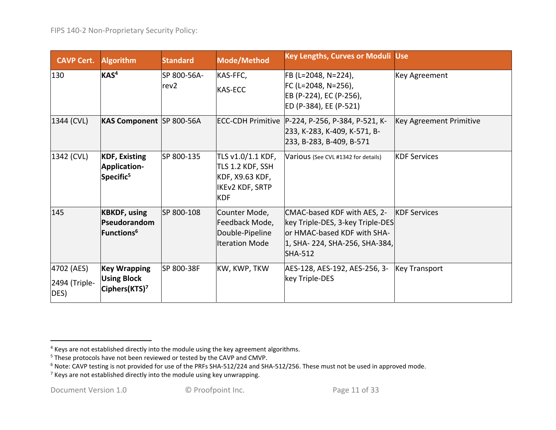| <b>CAVP Cert.</b>                   | <b>Algorithm</b>                                                       | <b>Standard</b>                 | Mode/Method                                                                               | <b>Key Lengths, Curves or Moduli Use</b>                                                                                                          |                                |
|-------------------------------------|------------------------------------------------------------------------|---------------------------------|-------------------------------------------------------------------------------------------|---------------------------------------------------------------------------------------------------------------------------------------------------|--------------------------------|
| 130                                 | KAS <sup>4</sup>                                                       | SP 800-56A-<br>rev <sub>2</sub> | KAS-FFC,<br><b>KAS-ECC</b>                                                                | FB (L=2048, N=224),<br>$FC (L=2048, N=256)$ ,<br>EB (P-224), EC (P-256),<br>ED (P-384), EE (P-521)                                                | Key Agreement                  |
| 1344 (CVL)                          | KAS Component SP 800-56A                                               |                                 |                                                                                           | ECC-CDH Primitive   P-224, P-256, P-384, P-521, K-<br>233, K-283, K-409, K-571, B-<br>233, B-283, B-409, B-571                                    | <b>Key Agreement Primitive</b> |
| 1342 (CVL)                          | <b>KDF, Existing</b><br>Application-<br>Specific <sup>5</sup>          | SP 800-135                      | TLS v1.0/1.1 KDF,<br>TLS 1.2 KDF, SSH<br>KDF, X9.63 KDF,<br>IKEv2 KDF, SRTP<br><b>KDF</b> | Various (See CVL #1342 for details)                                                                                                               | <b>KDF Services</b>            |
| 145                                 | <b>KBKDF, using</b><br>Pseudorandom<br>Functions <sup>6</sup>          | SP 800-108                      | Counter Mode,<br>Feedback Mode,<br>Double-Pipeline<br><b>Iteration Mode</b>               | CMAC-based KDF with AES, 2-<br>key Triple-DES, 3-key Triple-DES<br>or HMAC-based KDF with SHA-<br>1, SHA-224, SHA-256, SHA-384,<br><b>SHA-512</b> | <b>KDF Services</b>            |
| 4702 (AES)<br>2494 (Triple-<br>DES) | <b>Key Wrapping</b><br><b>Using Block</b><br>Ciphers(KTS) <sup>7</sup> | SP 800-38F                      | KW, KWP, TKW                                                                              | AES-128, AES-192, AES-256, 3-<br>key Triple-DES                                                                                                   | <b>Key Transport</b>           |

 $<sup>4</sup>$  Keys are not established directly into the module using the key agreement algorithms.</sup>

<sup>&</sup>lt;sup>5</sup> These protocols have not been reviewed or tested by the CAVP and CMVP.

 $^6$  Note: CAVP testing is not provided for use of the PRFs SHA-512/224 and SHA-512/256. These must not be used in approved mode.

 $7$  Keys are not established directly into the module using key unwrapping.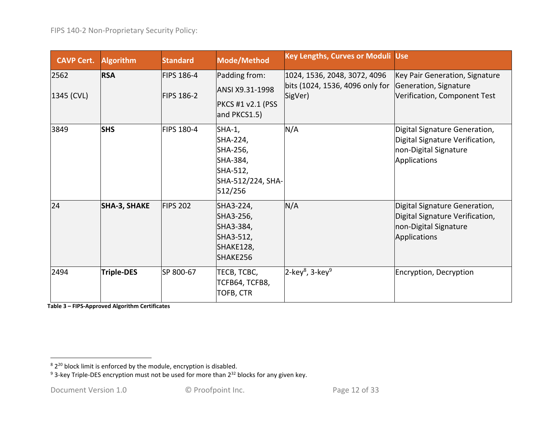| <b>CAVP Cert.</b>  | <b>Algorithm</b>    | <b>Standard</b>                 | Mode/Method                                                                            | <b>Key Lengths, Curves or Moduli Use</b>                                   |                                                                                                                  |
|--------------------|---------------------|---------------------------------|----------------------------------------------------------------------------------------|----------------------------------------------------------------------------|------------------------------------------------------------------------------------------------------------------|
| 2562<br>1345 (CVL) | <b>RSA</b>          | FIPS 186-4<br><b>FIPS 186-2</b> | Padding from:<br>ANSI X9.31-1998<br>PKCS #1 v2.1 (PSS<br>and PKCS1.5)                  | 1024, 1536, 2048, 3072, 4096<br>bits (1024, 1536, 4096 only for<br>SigVer) | Key Pair Generation, Signature<br>Generation, Signature<br>Verification, Component Test                          |
| 3849               | <b>SHS</b>          | FIPS 180-4                      | SHA-1,<br>SHA-224,<br>SHA-256,<br>SHA-384,<br>SHA-512,<br>SHA-512/224, SHA-<br>512/256 | N/A                                                                        | Digital Signature Generation,<br>Digital Signature Verification,<br>non-Digital Signature<br><b>Applications</b> |
| 24                 | <b>SHA-3, SHAKE</b> | <b>FIPS 202</b>                 | SHA3-224,<br>SHA3-256,<br>SHA3-384,<br>SHA3-512,<br>SHAKE128,<br>SHAKE256              | N/A                                                                        | Digital Signature Generation,<br>Digital Signature Verification,<br>non-Digital Signature<br><b>Applications</b> |
| 2494               | Triple-DES          | SP 800-67                       | TECB, TCBC,<br><b>TCFB64, TCFB8,</b><br>TOFB, CTR                                      | $2$ -key <sup>8</sup> , 3-key <sup>9</sup>                                 | Encryption, Decryption                                                                                           |

**Table 3 – FIPS‐Approved Algorithm Certificates**

 $8\,$ 2 $^{20}$  block limit is enforced by the module, encryption is disabled.

<sup>&</sup>lt;sup>9</sup> 3-key Triple-DES encryption must not be used for more than 2<sup>32</sup> blocks for any given key.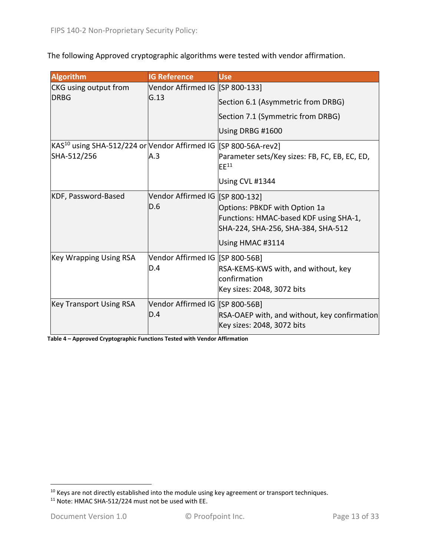The following Approved cryptographic algorithms were tested with vendor affirmation.

| <b>Algorithm</b>                                                                            | <b>IG Reference</b>                     | <b>Use</b>                                                                                                                        |
|---------------------------------------------------------------------------------------------|-----------------------------------------|-----------------------------------------------------------------------------------------------------------------------------------|
| CKG using output from                                                                       | Vendor Affirmed IG [SP 800-133]         |                                                                                                                                   |
| <b>DRBG</b>                                                                                 | G.13                                    | Section 6.1 (Asymmetric from DRBG)                                                                                                |
|                                                                                             |                                         | Section 7.1 (Symmetric from DRBG)                                                                                                 |
|                                                                                             |                                         | Using DRBG #1600                                                                                                                  |
| KAS <sup>10</sup> using SHA-512/224 or Vendor Affirmed IG  [SP 800-56A-rev2]<br>SHA-512/256 | A.3                                     | Parameter sets/Key sizes: FB, FC, EB, EC, ED,<br>$EE^{11}$<br>Using CVL #1344                                                     |
| KDF, Password-Based                                                                         | Vendor Affirmed IG [SP 800-132]<br>D.6  | Options: PBKDF with Option 1a<br>Functions: HMAC-based KDF using SHA-1,<br>SHA-224, SHA-256, SHA-384, SHA-512<br>Using HMAC #3114 |
| <b>Key Wrapping Using RSA</b>                                                               | Vendor Affirmed IG [SP 800-56B]<br>D.4  | RSA-KEMS-KWS with, and without, key<br>confirmation<br>Key sizes: 2048, 3072 bits                                                 |
| <b>Key Transport Using RSA</b>                                                              | Vendor Affirmed IG [[SP 800-56B]<br>D.4 | RSA-OAEP with, and without, key confirmation<br>Key sizes: 2048, 3072 bits                                                        |

**Table 4 – Approved Cryptographic Functions Tested with Vendor Affirmation**

 $^{10}$  Keys are not directly established into the module using key agreement or transport techniques.

<sup>&</sup>lt;sup>11</sup> Note: HMAC SHA-512/224 must not be used with EE.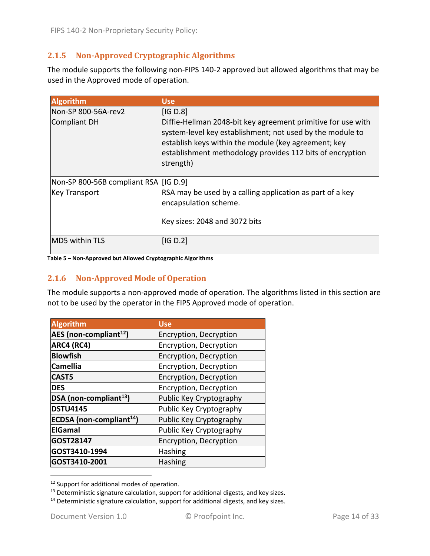## **2.1.5 Non‐Approved Cryptographic Algorithms**

The module supports the following non-FIPS 140-2 approved but allowed algorithms that may be used in the Approved mode of operation.

| <b>Algorithm</b>                      | <b>Use</b>                                                                                                                                                                                                                                                  |
|---------------------------------------|-------------------------------------------------------------------------------------------------------------------------------------------------------------------------------------------------------------------------------------------------------------|
| Non-SP 800-56A-rev2                   | [IG D.8]                                                                                                                                                                                                                                                    |
| Compliant DH                          | Diffie-Hellman 2048-bit key agreement primitive for use with<br>system-level key establishment; not used by the module to<br>establish keys within the module (key agreement; key<br>establishment methodology provides 112 bits of encryption<br>strength) |
| Non-SP 800-56B compliant RSA [IG D.9] |                                                                                                                                                                                                                                                             |
| <b>Key Transport</b>                  | RSA may be used by a calling application as part of a key<br>encapsulation scheme.                                                                                                                                                                          |
|                                       | Key sizes: 2048 and 3072 bits                                                                                                                                                                                                                               |
| MD5 within TLS                        | [IG D.2]                                                                                                                                                                                                                                                    |

#### **Table 5 – Non‐Approved but Allowed Cryptographic Algorithms**

#### **2.1.6 Non‐Approved Mode of Operation**

The module supports a non-approved mode of operation. The algorithms listed in this section are not to be used by the operator in the FIPS Approved mode of operation.

| <b>Algorithm</b>                     | <b>Use</b>              |
|--------------------------------------|-------------------------|
| AES (non-compliant <sup>12</sup> )   | Encryption, Decryption  |
| ARC4 (RC4)                           | Encryption, Decryption  |
| <b>Blowfish</b>                      | Encryption, Decryption  |
| <b>Camellia</b>                      | Encryption, Decryption  |
| <b>CAST5</b>                         | Encryption, Decryption  |
| <b>DES</b>                           | Encryption, Decryption  |
| DSA (non-compliant <sup>13</sup> )   | Public Key Cryptography |
| <b>DSTU4145</b>                      | Public Key Cryptography |
| ECDSA (non-compliant <sup>14</sup> ) | Public Key Cryptography |
| <b>ElGamal</b>                       | Public Key Cryptography |
| GOST28147                            | Encryption, Decryption  |
| GOST3410-1994                        | <b>Hashing</b>          |
| GOST3410-2001                        | <b>Hashing</b>          |

<sup>&</sup>lt;sup>12</sup> Support for additional modes of operation.

 $13$  Deterministic signature calculation, support for additional digests, and key sizes.

<sup>&</sup>lt;sup>14</sup> Deterministic signature calculation, support for additional digests, and key sizes.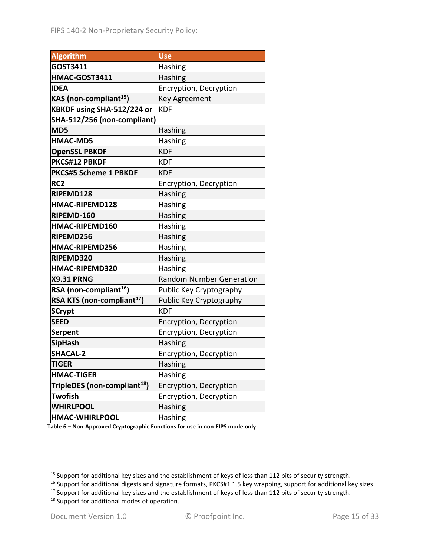| <b>Algorithm</b>                         | Use                             |
|------------------------------------------|---------------------------------|
| GOST3411                                 | Hashing                         |
| HMAC-GOST3411                            | Hashing                         |
| <b>IDEA</b>                              | Encryption, Decryption          |
| KAS (non-compliant <sup>15</sup> )       | Key Agreement                   |
| KBKDF using SHA-512/224 or               | <b>KDF</b>                      |
| SHA-512/256 (non-compliant)              |                                 |
| MD5                                      | Hashing                         |
| <b>HMAC-MD5</b>                          | Hashing                         |
| <b>OpenSSL PBKDF</b>                     | <b>KDF</b>                      |
| PKCS#12 PBKDF                            | KDF                             |
| <b>PKCS#5 Scheme 1 PBKDF</b>             | <b>KDF</b>                      |
| RC <sub>2</sub>                          | Encryption, Decryption          |
| RIPEMD128                                | Hashing                         |
| HMAC-RIPEMD128                           | Hashing                         |
| RIPEMD-160                               | Hashing                         |
| HMAC-RIPEMD160                           | Hashing                         |
| RIPEMD256                                | Hashing                         |
| HMAC-RIPEMD256                           | Hashing                         |
| RIPEMD320                                | Hashing                         |
| HMAC-RIPEMD320                           | Hashing                         |
| <b>X9.31 PRNG</b>                        | <b>Random Number Generation</b> |
| RSA (non-compliant <sup>16</sup> )       | Public Key Cryptography         |
| RSA KTS (non-compliant <sup>17</sup> )   | Public Key Cryptography         |
| <b>SCrypt</b>                            | <b>KDF</b>                      |
| <b>SEED</b>                              | Encryption, Decryption          |
| <b>Serpent</b>                           | Encryption, Decryption          |
| <b>SipHash</b>                           | Hashing                         |
| <b>SHACAL-2</b>                          | Encryption, Decryption          |
| <b>TIGER</b>                             | Hashing                         |
| <b>HMAC-TIGER</b>                        | <b>Hashing</b>                  |
| TripleDES (non-compliant <sup>18</sup> ) | Encryption, Decryption          |
| <b>Twofish</b>                           | Encryption, Decryption          |
| <b>WHIRLPOOL</b>                         | <b>Hashing</b>                  |
| <b>HMAC-WHIRLPOOL</b>                    | Hashing                         |

**Table 6 – Non‐Approved Cryptographic Functions for use in non‐FIPS mode only**

<sup>&</sup>lt;sup>15</sup> Support for additional key sizes and the establishment of keys of less than 112 bits of security strength.

<sup>16</sup> Support for additional digests and signature formats, PKCS#1 1.5 key wrapping, support for additional key sizes.

<sup>&</sup>lt;sup>17</sup> Support for additional key sizes and the establishment of keys of less than 112 bits of security strength.

<sup>&</sup>lt;sup>18</sup> Support for additional modes of operation.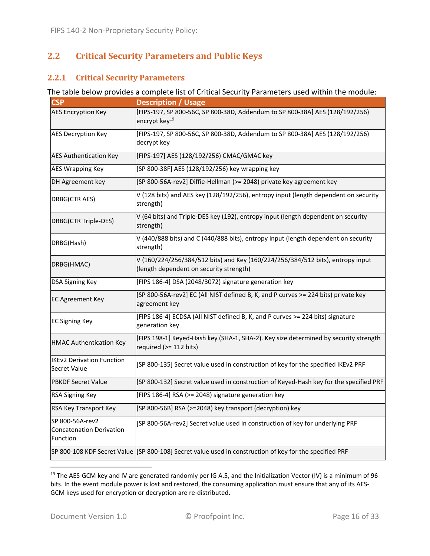# **2.2 Critical Security Parameters and Public Keys**

#### **2.2.1 Critical Security Parameters**

#### The table below provides a complete list of Critical Security Parameters used within the module:

| <b>CSP</b>                                                     | <b>Description / Usage</b>                                                                                                |
|----------------------------------------------------------------|---------------------------------------------------------------------------------------------------------------------------|
| <b>AES Encryption Key</b>                                      | [FIPS-197, SP 800-56C, SP 800-38D, Addendum to SP 800-38A] AES (128/192/256)<br>encrypt key <sup>19</sup>                 |
| <b>AES Decryption Key</b>                                      | [FIPS-197, SP 800-56C, SP 800-38D, Addendum to SP 800-38A] AES (128/192/256)<br>decrypt key                               |
| <b>AES Authentication Key</b>                                  | [FIPS-197] AES (128/192/256) CMAC/GMAC key                                                                                |
| <b>AES Wrapping Key</b>                                        | [SP 800-38F] AES (128/192/256) key wrapping key                                                                           |
| DH Agreement key                                               | [SP 800-56A-rev2] Diffie-Hellman (>= 2048) private key agreement key                                                      |
| DRBG(CTR AES)                                                  | V (128 bits) and AES key (128/192/256), entropy input (length dependent on security<br>strength)                          |
| DRBG(CTR Triple-DES)                                           | V (64 bits) and Triple-DES key (192), entropy input (length dependent on security<br>strength)                            |
| DRBG(Hash)                                                     | V (440/888 bits) and C (440/888 bits), entropy input (length dependent on security<br>strength)                           |
| DRBG(HMAC)                                                     | V (160/224/256/384/512 bits) and Key (160/224/256/384/512 bits), entropy input<br>(length dependent on security strength) |
| <b>DSA Signing Key</b>                                         | [FIPS 186-4] DSA (2048/3072) signature generation key                                                                     |
| <b>EC Agreement Key</b>                                        | [SP 800-56A-rev2] EC (All NIST defined B, K, and P curves >= 224 bits) private key<br>agreement key                       |
| <b>EC Signing Key</b>                                          | [FIPS 186-4] ECDSA (All NIST defined B, K, and P curves >= 224 bits) signature<br>generation key                          |
| <b>HMAC Authentication Key</b>                                 | [FIPS 198-1] Keyed-Hash key (SHA-1, SHA-2). Key size determined by security strength<br>required (>= 112 bits)            |
| <b>IKEv2 Derivation Function</b><br>Secret Value               | [SP 800-135] Secret value used in construction of key for the specified IKEv2 PRF                                         |
| <b>PBKDF Secret Value</b>                                      | [SP 800-132] Secret value used in construction of Keyed-Hash key for the specified PRF                                    |
| <b>RSA Signing Key</b>                                         | [FIPS 186-4] RSA (>= 2048) signature generation key                                                                       |
| RSA Key Transport Key                                          | [SP 800-56B] RSA (>=2048) key transport (decryption) key                                                                  |
| SP 800-56A-rev2<br><b>Concatenation Derivation</b><br>Function | [SP 800-56A-rev2] Secret value used in construction of key for underlying PRF                                             |
|                                                                | SP 800-108 KDF Secret Value [SP 800-108] Secret value used in construction of key for the specified PRF                   |

<sup>&</sup>lt;sup>19</sup> The AES-GCM key and IV are generated randomly per IG A.5, and the Initialization Vector (IV) is a minimum of 96 bits. In the event module power is lost and restored, the consuming application must ensure that any of its AES‐ GCM keys used for encryption or decryption are re‐distributed.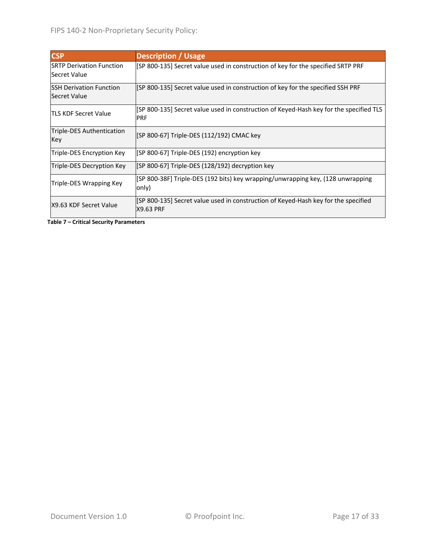| <b>CSP</b>                                      | <b>Description / Usage</b>                                                                             |
|-------------------------------------------------|--------------------------------------------------------------------------------------------------------|
| <b>SRTP Derivation Function</b><br>Secret Value | [SP 800-135] Secret value used in construction of key for the specified SRTP PRF                       |
| <b>SSH Derivation Function</b><br>Secret Value  | [SP 800-135] Secret value used in construction of key for the specified SSH PRF                        |
| <b>ITLS KDF Secret Value</b>                    | [SP 800-135] Secret value used in construction of Keyed-Hash key for the specified TLS<br><b>PRF</b>   |
| Triple-DES Authentication<br>Key                | [SP 800-67] Triple-DES (112/192) CMAC key                                                              |
| Triple-DES Encryption Key                       | [SP 800-67] Triple-DES (192) encryption key                                                            |
| Triple-DES Decryption Key                       | [SP 800-67] Triple-DES (128/192) decryption key                                                        |
| Triple-DES Wrapping Key                         | [SP 800-38F] Triple-DES (192 bits) key wrapping/unwrapping key, (128 unwrapping<br>only)               |
| X9.63 KDF Secret Value                          | [SP 800-135] Secret value used in construction of Keyed-Hash key for the specified<br><b>X9.63 PRF</b> |

**Table 7 – Critical Security Parameters**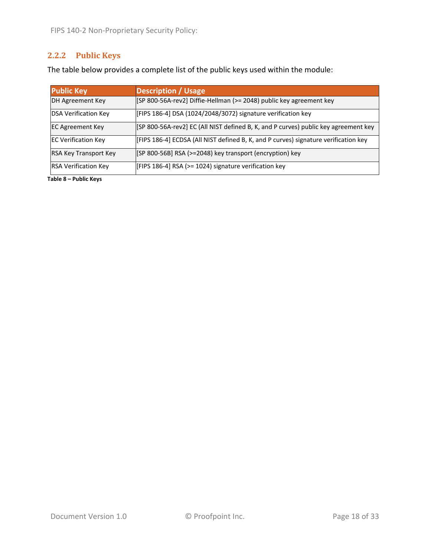# **2.2.2 Public Keys**

The table below provides a complete list of the public keys used within the module:

| <b>Public Key</b>            | <b>Description / Usage</b>                                                          |
|------------------------------|-------------------------------------------------------------------------------------|
| DH Agreement Key             | [SP 800-56A-rev2] Diffie-Hellman (>= 2048) public key agreement key                 |
| <b>DSA Verification Key</b>  | [FIPS 186-4] DSA (1024/2048/3072) signature verification key                        |
| <b>EC Agreement Key</b>      | [SP 800-56A-rev2] EC (All NIST defined B, K, and P curves) public key agreement key |
| <b>EC Verification Key</b>   | [FIPS 186-4] ECDSA (All NIST defined B, K, and P curves) signature verification key |
| <b>RSA Key Transport Key</b> | [SP 800-56B] RSA (>=2048) key transport (encryption) key                            |
| <b>RSA Verification Key</b>  | [FIPS 186-4] RSA (>= 1024) signature verification key                               |

**Table 8 – Public Keys**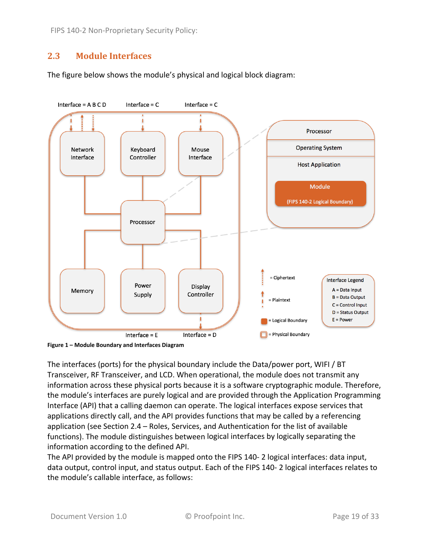## **2.3 Module Interfaces**

The figure below shows the module's physical and logical block diagram:



**Figure 1 – Module Boundary and Interfaces Diagram**

The interfaces (ports) for the physical boundary include the Data/power port, WIFI / BT Transceiver, RF Transceiver, and LCD. When operational, the module does not transmit any information across these physical ports because it is a software cryptographic module. Therefore, the module's interfaces are purely logical and are provided through the Application Programming Interface (API) that a calling daemon can operate. The logical interfaces expose services that applications directly call, and the API provides functions that may be called by a referencing application (see Section 2.4 – Roles, Services, and Authentication for the list of available functions). The module distinguishes between logical interfaces by logically separating the information according to the defined API.

The API provided by the module is mapped onto the FIPS 140‐ 2 logical interfaces: data input, data output, control input, and status output. Each of the FIPS 140‐ 2 logical interfaces relates to the module's callable interface, as follows: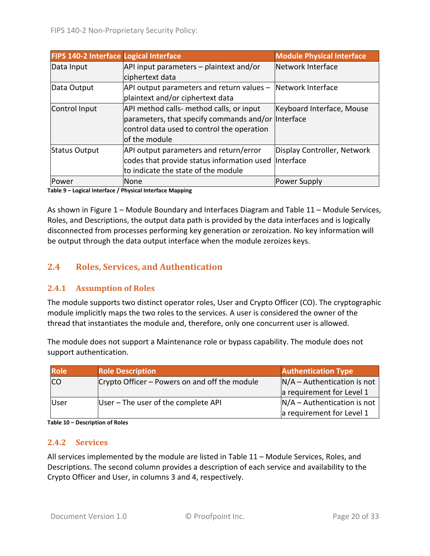| <b>FIPS 140-2 Interface Logical Interface</b> |                                                      | <b>Module Physical Interface</b> |
|-----------------------------------------------|------------------------------------------------------|----------------------------------|
| Data Input                                    | API input parameters - plaintext and/or              | Network Interface                |
|                                               | ciphertext data                                      |                                  |
| Data Output                                   | API output parameters and return values -            | Network Interface                |
|                                               | plaintext and/or ciphertext data                     |                                  |
| Control Input                                 | API method calls- method calls, or input             | Keyboard Interface, Mouse        |
|                                               | parameters, that specify commands and/or Interface   |                                  |
|                                               | control data used to control the operation           |                                  |
|                                               | of the module                                        |                                  |
| <b>Status Output</b>                          | API output parameters and return/error               | Display Controller, Network      |
|                                               | codes that provide status information used Interface |                                  |
|                                               | to indicate the state of the module                  |                                  |
| Power                                         | None                                                 | <b>Power Supply</b>              |

**Table 9 – Logical Interface / Physical Interface Mapping**

As shown in Figure 1 – Module Boundary and Interfaces Diagram and Table 11 – Module Services, Roles, and Descriptions, the output data path is provided by the data interfaces and is logically disconnected from processes performing key generation or zeroization. No key information will be output through the data output interface when the module zeroizes keys.

# **2.4 Roles, Services, and Authentication**

#### **2.4.1 Assumption of Roles**

The module supports two distinct operator roles, User and Crypto Officer (CO). The cryptographic module implicitly maps the two roles to the services. A user is considered the owner of the thread that instantiates the module and, therefore, only one concurrent user is allowed.

The module does not support a Maintenance role or bypass capability. The module does not support authentication.

| <b>Role</b> | <b>Role Description</b>                       | <b>Authentication Type</b>    |
|-------------|-----------------------------------------------|-------------------------------|
| ICO         | Crypto Officer – Powers on and off the module | $N/A -$ Authentication is not |
|             |                                               | a requirement for Level 1     |
| User        | User – The user of the complete API           | $N/A -$ Authentication is not |
|             |                                               | a requirement for Level 1     |

**Table 10 – Description of Roles**

#### **2.4.2 Services**

All services implemented by the module are listed in Table 11 – Module Services, Roles, and Descriptions. The second column provides a description of each service and availability to the Crypto Officer and User, in columns 3 and 4, respectively.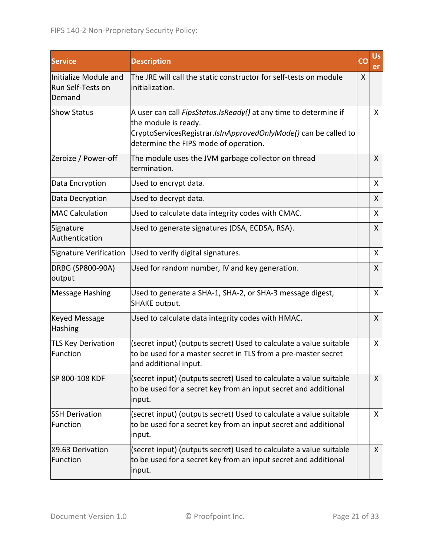| <b>Service</b>                                       | <b>Description</b>                                                                                                                                                                                   | CO | <b>Us</b><br>er |
|------------------------------------------------------|------------------------------------------------------------------------------------------------------------------------------------------------------------------------------------------------------|----|-----------------|
| Initialize Module and<br>Run Self-Tests on<br>Demand | The JRE will call the static constructor for self-tests on module<br>initialization.                                                                                                                 | X  |                 |
| <b>Show Status</b>                                   | A user can call FipsStatus.IsReady() at any time to determine if<br>the module is ready.<br>CryptoServicesRegistrar.IsInApprovedOnlyMode() can be called to<br>determine the FIPS mode of operation. |    | X.              |
| Zeroize / Power-off                                  | The module uses the JVM garbage collector on thread<br>termination.                                                                                                                                  |    | X               |
| Data Encryption                                      | Used to encrypt data.                                                                                                                                                                                |    | X               |
| Data Decryption                                      | Used to decrypt data.                                                                                                                                                                                |    | X               |
| <b>MAC Calculation</b>                               | Used to calculate data integrity codes with CMAC.                                                                                                                                                    |    | X               |
| Signature<br>Authentication                          | Used to generate signatures (DSA, ECDSA, RSA).                                                                                                                                                       |    | X               |
|                                                      | Signature Verification Used to verify digital signatures.                                                                                                                                            |    | X               |
| DRBG (SP800-90A)<br>output                           | Used for random number, IV and key generation.                                                                                                                                                       |    | X               |
| <b>Message Hashing</b>                               | Used to generate a SHA-1, SHA-2, or SHA-3 message digest,<br><b>SHAKE output.</b>                                                                                                                    |    | X               |
| <b>Keyed Message</b><br>Hashing                      | Used to calculate data integrity codes with HMAC.                                                                                                                                                    |    | X               |
| <b>TLS Key Derivation</b><br>Function                | (secret input) (outputs secret) Used to calculate a value suitable<br>to be used for a master secret in TLS from a pre-master secret<br>and additional input.                                        |    | X               |
| SP 800-108 KDF                                       | (secret input) (outputs secret) Used to calculate a value suitable<br>to be used for a secret key from an input secret and additional<br>input.                                                      |    | X.              |
| <b>SSH Derivation</b><br>Function                    | (secret input) (outputs secret) Used to calculate a value suitable<br>to be used for a secret key from an input secret and additional<br>input.                                                      |    | X.              |
| X9.63 Derivation<br>Function                         | (secret input) (outputs secret) Used to calculate a value suitable<br>to be used for a secret key from an input secret and additional<br>input.                                                      |    | X.              |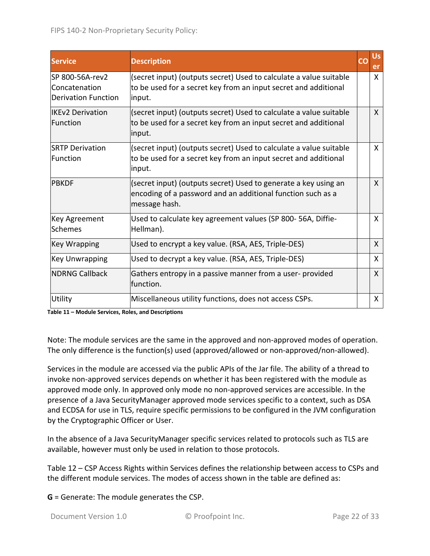| <b>Service</b>                                                  | <b>Description</b>                                                                                                                              | CC | <b>Us</b><br>er |
|-----------------------------------------------------------------|-------------------------------------------------------------------------------------------------------------------------------------------------|----|-----------------|
| lSP 800-56A-rev2<br>Concatenation<br><b>Derivation Function</b> | (secret input) (outputs secret) Used to calculate a value suitable<br>to be used for a secret key from an input secret and additional<br>input. |    | X               |
| <b>IIKEv2 Derivation</b><br>Function                            | (secret input) (outputs secret) Used to calculate a value suitable<br>to be used for a secret key from an input secret and additional<br>input. |    | X               |
| <b>SRTP Derivation</b><br>Function                              | (secret input) (outputs secret) Used to calculate a value suitable<br>to be used for a secret key from an input secret and additional<br>input. |    | X               |
| <b>PBKDF</b>                                                    | (secret input) (outputs secret) Used to generate a key using an<br>encoding of a password and an additional function such as a<br>message hash. |    | X               |
| <b>Key Agreement</b><br><b>Schemes</b>                          | Used to calculate key agreement values (SP 800-56A, Diffie-<br>Hellman).                                                                        |    | X               |
| <b>Key Wrapping</b>                                             | Used to encrypt a key value. (RSA, AES, Triple-DES)                                                                                             |    | X               |
| <b>Key Unwrapping</b>                                           | Used to decrypt a key value. (RSA, AES, Triple-DES)                                                                                             |    | X               |
| INDRNG Callback                                                 | Gathers entropy in a passive manner from a user-provided<br>function.                                                                           |    | X               |
| Utility                                                         | Miscellaneous utility functions, does not access CSPs.                                                                                          |    | X               |

**Table 11 – Module Services, Roles, and Descriptions**

Note: The module services are the same in the approved and non‐approved modes of operation. The only difference is the function(s) used (approved/allowed or non‐approved/non‐allowed).

Services in the module are accessed via the public APIs of the Jar file. The ability of a thread to invoke non-approved services depends on whether it has been registered with the module as approved mode only. In approved only mode no non‐approved services are accessible. In the presence of a Java SecurityManager approved mode services specific to a context, such as DSA and ECDSA for use in TLS, require specific permissions to be configured in the JVM configuration by the Cryptographic Officer or User.

In the absence of a Java SecurityManager specific services related to protocols such as TLS are available, however must only be used in relation to those protocols.

Table 12 – CSP Access Rights within Services defines the relationship between access to CSPs and the different module services. The modes of access shown in the table are defined as:

**G** = Generate: The module generates the CSP.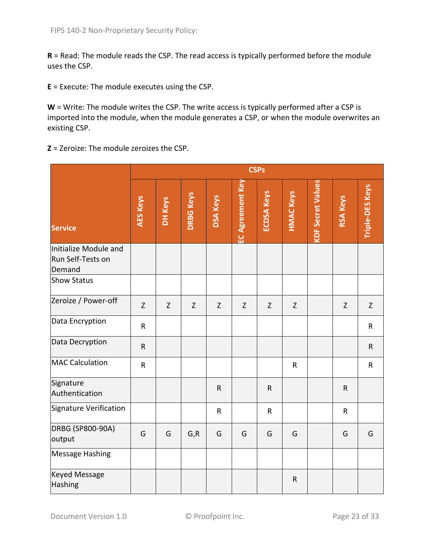**R** = Read: The module reads the CSP. The read access is typically performed before the module uses the CSP.

**E** = Execute: The module executes using the CSP.

**W** = Write: The module writes the CSP. The write access is typically performed after a CSP is imported into the module, when the module generates a CSP, or when the module overwrites an existing CSP.

**Z** = Zeroize: The module zeroizes the CSP.

|                                                      | <b>CSPs</b>     |             |                  |                 |                  |                   |                  |                          |                 |                        |
|------------------------------------------------------|-----------------|-------------|------------------|-----------------|------------------|-------------------|------------------|--------------------------|-----------------|------------------------|
| <b>Service</b>                                       | <b>AES Keys</b> | DH Keys     | <b>DRBG Keys</b> | <b>DSA Keys</b> | EC Agreement Key | <b>ECDSA Keys</b> | <b>HMAC Keys</b> | <b>KDF Secret Values</b> | <b>RSA Keys</b> | <b>Triple-DES Keys</b> |
| Initialize Module and<br>Run Self-Tests on<br>Demand |                 |             |                  |                 |                  |                   |                  |                          |                 |                        |
| <b>Show Status</b>                                   |                 |             |                  |                 |                  |                   |                  |                          |                 |                        |
| Zeroize / Power-off                                  | Z               | $\mathsf Z$ | Z                | $\mathsf Z$     | Z                | $\mathsf Z$       | Z                |                          | $\mathsf Z$     | Z                      |
| Data Encryption                                      | $\mathsf R$     |             |                  |                 |                  |                   |                  |                          |                 | $\mathsf{R}$           |
| Data Decryption                                      | $\mathsf R$     |             |                  |                 |                  |                   |                  |                          |                 | $\mathsf{R}$           |
| <b>MAC Calculation</b>                               | $\mathsf R$     |             |                  |                 |                  |                   | $\mathsf{R}$     |                          |                 | $\mathsf{R}$           |
| Signature<br>Authentication                          |                 |             |                  | $\mathsf R$     |                  | $\mathsf R$       |                  |                          | $\mathsf{R}$    |                        |
| Signature Verification                               |                 |             |                  | $\mathsf R$     |                  | $\mathsf{R}$      |                  |                          | $\mathsf R$     |                        |
| DRBG (SP800-90A)<br>output                           | G               | G           | G, R             | G               | G                | G                 | G                |                          | G               | G                      |
| <b>Message Hashing</b>                               |                 |             |                  |                 |                  |                   |                  |                          |                 |                        |
| <b>Keyed Message</b><br>Hashing                      |                 |             |                  |                 |                  |                   | $\mathsf{R}$     |                          |                 |                        |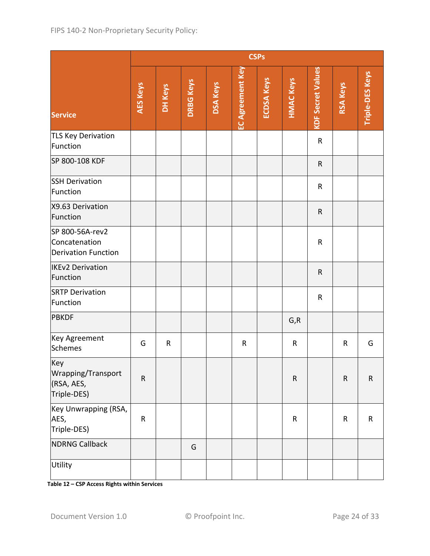|                                                                | <b>CSPs</b> |           |                  |                 |                         |                   |                  |                          |                 |                        |
|----------------------------------------------------------------|-------------|-----------|------------------|-----------------|-------------------------|-------------------|------------------|--------------------------|-----------------|------------------------|
| <b>Service</b>                                                 | AES Keys    | DH Keys   | <b>DRBG Keys</b> | <b>DSA Keys</b> | <b>EC Agreement Key</b> | <b>ECDSA Keys</b> | <b>HMAC Keys</b> | <b>KDF Secret Values</b> | <b>RSA Keys</b> | <b>Triple-DES Keys</b> |
| <b>TLS Key Derivation</b><br>Function                          |             |           |                  |                 |                         |                   |                  | ${\sf R}$                |                 |                        |
| SP 800-108 KDF                                                 |             |           |                  |                 |                         |                   |                  | $\mathsf R$              |                 |                        |
| <b>SSH Derivation</b><br>Function                              |             |           |                  |                 |                         |                   |                  | R                        |                 |                        |
| X9.63 Derivation<br>Function                                   |             |           |                  |                 |                         |                   |                  | ${\sf R}$                |                 |                        |
| SP 800-56A-rev2<br>Concatenation<br><b>Derivation Function</b> |             |           |                  |                 |                         |                   |                  | R                        |                 |                        |
| <b>IKEv2 Derivation</b><br>Function                            |             |           |                  |                 |                         |                   |                  | ${\sf R}$                |                 |                        |
| <b>SRTP Derivation</b><br>Function                             |             |           |                  |                 |                         |                   |                  | R                        |                 |                        |
| <b>PBKDF</b>                                                   |             |           |                  |                 |                         |                   | G, R             |                          |                 |                        |
| Key Agreement<br>Schemes                                       | G           | ${\sf R}$ |                  |                 | $\mathsf{R}$            |                   | $\mathsf R$      |                          | R               | G                      |
| Key<br>Wrapping/Transport<br>(RSA, AES,<br>Triple-DES)         | ${\sf R}$   |           |                  |                 |                         |                   | ${\sf R}$        |                          | ${\sf R}$       | ${\sf R}$              |
| Key Unwrapping (RSA,<br>AES,<br>Triple-DES)                    | ${\sf R}$   |           |                  |                 |                         |                   | $\mathsf R$      |                          | R               | ${\sf R}$              |
| <b>NDRNG Callback</b>                                          |             |           | G                |                 |                         |                   |                  |                          |                 |                        |
| Utility                                                        |             |           |                  |                 |                         |                   |                  |                          |                 |                        |

**Table 12 – CSP Access Rights within Services**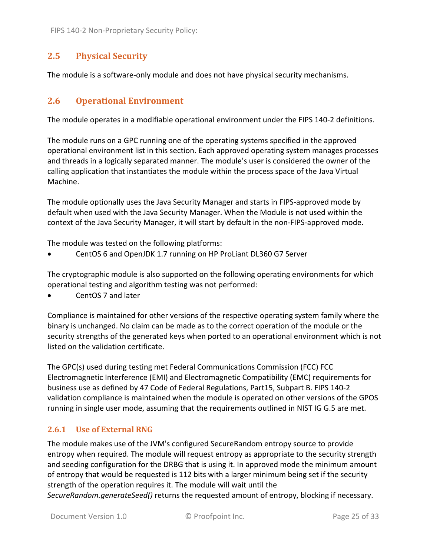## **2.5 Physical Security**

The module is a software‐only module and does not have physical security mechanisms.

## **2.6 Operational Environment**

The module operates in a modifiable operational environment under the FIPS 140‐2 definitions.

The module runs on a GPC running one of the operating systems specified in the approved operational environment list in this section. Each approved operating system manages processes and threads in a logically separated manner. The module's user is considered the owner of the calling application that instantiates the module within the process space of the Java Virtual Machine.

The module optionally uses the Java Security Manager and starts in FIPS‐approved mode by default when used with the Java Security Manager. When the Module is not used within the context of the Java Security Manager, it will start by default in the non‐FIPS‐approved mode.

The module was tested on the following platforms:

CentOS 6 and OpenJDK 1.7 running on HP ProLiant DL360 G7 Server

The cryptographic module is also supported on the following operating environments for which operational testing and algorithm testing was not performed:

CentOS 7 and later

Compliance is maintained for other versions of the respective operating system family where the binary is unchanged. No claim can be made as to the correct operation of the module or the security strengths of the generated keys when ported to an operational environment which is not listed on the validation certificate.

The GPC(s) used during testing met Federal Communications Commission (FCC) FCC Electromagnetic Interference (EMI) and Electromagnetic Compatibility (EMC) requirements for business use as defined by 47 Code of Federal Regulations, Part15, Subpart B. FIPS 140‐2 validation compliance is maintained when the module is operated on other versions of the GPOS running in single user mode, assuming that the requirements outlined in NIST IG G.5 are met.

#### **2.6.1 Use of External RNG**

The module makes use of the JVM's configured SecureRandom entropy source to provide entropy when required. The module will request entropy as appropriate to the security strength and seeding configuration for the DRBG that is using it. In approved mode the minimum amount of entropy that would be requested is 112 bits with a larger minimum being set if the security strength of the operation requires it. The module will wait until the *SecureRandom.generateSeed()* returns the requested amount of entropy, blocking if necessary.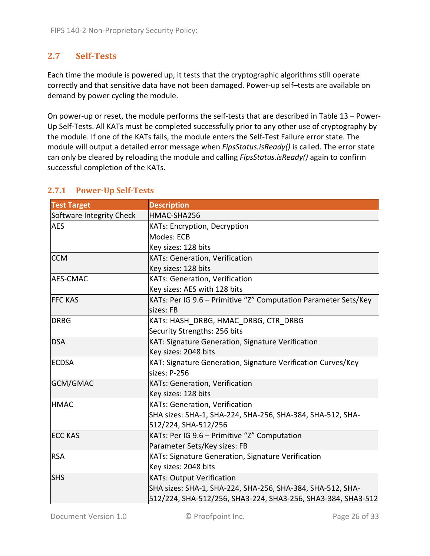# **2.7 Self‐Tests**

Each time the module is powered up, it tests that the cryptographic algorithms still operate correctly and that sensitive data have not been damaged. Power‐up self–tests are available on demand by power cycling the module.

On power-up or reset, the module performs the self-tests that are described in Table 13 – Power-Up Self‐Tests. All KATs must be completed successfully prior to any other use of cryptography by the module. If one of the KATs fails, the module enters the Self‐Test Failure error state. The module will output a detailed error message when *FipsStatus.isReady()* is called. The error state can only be cleared by reloading the module and calling *FipsStatus.isReady()* again to confirm successful completion of the KATs.

| <b>Test Target</b>       | <b>Description</b>                                              |
|--------------------------|-----------------------------------------------------------------|
| Software Integrity Check | HMAC-SHA256                                                     |
| <b>AES</b>               | KATs: Encryption, Decryption                                    |
|                          | Modes: ECB                                                      |
|                          | Key sizes: 128 bits                                             |
| <b>CCM</b>               | <b>KATs: Generation, Verification</b>                           |
|                          | Key sizes: 128 bits                                             |
| <b>AES-CMAC</b>          | KATs: Generation, Verification                                  |
|                          | Key sizes: AES with 128 bits                                    |
| <b>FFC KAS</b>           | KATs: Per IG 9.6 - Primitive "Z" Computation Parameter Sets/Key |
|                          | sizes: FB                                                       |
| <b>DRBG</b>              | KATs: HASH DRBG, HMAC DRBG, CTR DRBG                            |
|                          | Security Strengths: 256 bits                                    |
| <b>DSA</b>               | KAT: Signature Generation, Signature Verification               |
|                          | Key sizes: 2048 bits                                            |
| <b>ECDSA</b>             | KAT: Signature Generation, Signature Verification Curves/Key    |
|                          | sizes: P-256                                                    |
| GCM/GMAC                 | <b>KATs: Generation, Verification</b>                           |
|                          | Key sizes: 128 bits                                             |
| <b>HMAC</b>              | <b>KATs: Generation, Verification</b>                           |
|                          | SHA sizes: SHA-1, SHA-224, SHA-256, SHA-384, SHA-512, SHA-      |
|                          | 512/224, SHA-512/256                                            |
| <b>ECC KAS</b>           | KATs: Per IG 9.6 - Primitive "Z" Computation                    |
|                          | Parameter Sets/Key sizes: FB                                    |
| <b>RSA</b>               | KATs: Signature Generation, Signature Verification              |
|                          | Key sizes: 2048 bits                                            |
| <b>SHS</b>               | <b>KATs: Output Verification</b>                                |
|                          | SHA sizes: SHA-1, SHA-224, SHA-256, SHA-384, SHA-512, SHA-      |
|                          | 512/224, SHA-512/256, SHA3-224, SHA3-256, SHA3-384, SHA3-512    |

#### **2.7.1 Power‐Up Self‐Tests**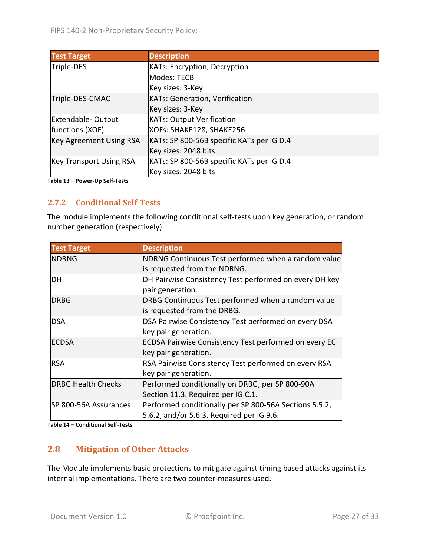| <b>Test Target</b>             | <b>Description</b>                        |
|--------------------------------|-------------------------------------------|
| Triple-DES                     | <b>KATs: Encryption, Decryption</b>       |
|                                | Modes: TECB                               |
|                                | Key sizes: 3-Key                          |
| Triple-DES-CMAC                | <b>KATs: Generation, Verification</b>     |
|                                | Key sizes: 3-Key                          |
| Extendable-Output              | <b>KATs: Output Verification</b>          |
| functions (XOF)                | XOFs: SHAKE128, SHAKE256                  |
| <b>Key Agreement Using RSA</b> | KATs: SP 800-56B specific KATs per IG D.4 |
|                                | Key sizes: 2048 bits                      |
| <b>Key Transport Using RSA</b> | KATs: SP 800-56B specific KATs per IG D.4 |
|                                | Key sizes: 2048 bits                      |

**Table 13 – Power‐Up Self‐Tests**

#### **2.7.2 Conditional Self‐Tests**

The module implements the following conditional self‐tests upon key generation, or random number generation (respectively):

| <b>Test Target</b>        | <b>Description</b>                                           |
|---------------------------|--------------------------------------------------------------|
| <b>NDRNG</b>              | NDRNG Continuous Test performed when a random value          |
|                           | is requested from the NDRNG.                                 |
| DH                        | DH Pairwise Consistency Test performed on every DH key       |
|                           | pair generation.                                             |
| <b>DRBG</b>               | DRBG Continuous Test performed when a random value           |
|                           | is requested from the DRBG.                                  |
| <b>DSA</b>                | DSA Pairwise Consistency Test performed on every DSA         |
|                           | key pair generation.                                         |
| <b>ECDSA</b>              | <b>ECDSA Pairwise Consistency Test performed on every EC</b> |
|                           | key pair generation.                                         |
| <b>RSA</b>                | RSA Pairwise Consistency Test performed on every RSA         |
|                           | key pair generation.                                         |
| <b>DRBG Health Checks</b> | Performed conditionally on DRBG, per SP 800-90A              |
|                           | Section 11.3. Required per IG C.1.                           |
| SP 800-56A Assurances     | Performed conditionally per SP 800-56A Sections 5.5.2,       |
|                           | 5.6.2, and/or 5.6.3. Required per IG 9.6.                    |

**Table 14 – Conditional Self‐Tests**

## **2.8 Mitigation of Other Attacks**

The Module implements basic protections to mitigate against timing based attacks against its internal implementations. There are two counter-measures used.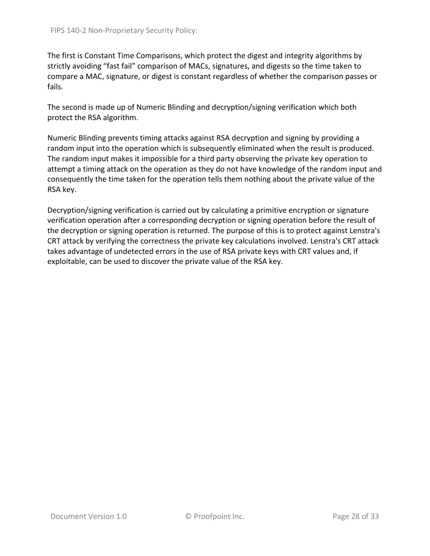The first is Constant Time Comparisons, which protect the digest and integrity algorithms by strictly avoiding "fast fail" comparison of MACs, signatures, and digests so the time taken to compare a MAC, signature, or digest is constant regardless of whether the comparison passes or fails.

The second is made up of Numeric Blinding and decryption/signing verification which both protect the RSA algorithm.

Numeric Blinding prevents timing attacks against RSA decryption and signing by providing a random input into the operation which is subsequently eliminated when the result is produced. The random input makes it impossible for a third party observing the private key operation to attempt a timing attack on the operation as they do not have knowledge of the random input and consequently the time taken for the operation tells them nothing about the private value of the RSA key.

Decryption/signing verification is carried out by calculating a primitive encryption or signature verification operation after a corresponding decryption or signing operation before the result of the decryption or signing operation is returned. The purpose of this is to protect against Lenstra's CRT attack by verifying the correctness the private key calculations involved. Lenstra's CRT attack takes advantage of undetected errors in the use of RSA private keys with CRT values and, if exploitable, can be used to discover the private value of the RSA key.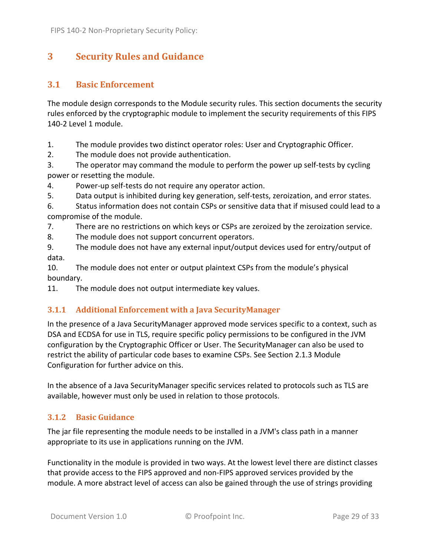# **3 Security Rules and Guidance**

## **3.1 Basic Enforcement**

The module design corresponds to the Module security rules. This section documents the security rules enforced by the cryptographic module to implement the security requirements of this FIPS 140‐2 Level 1 module.

1. The module provides two distinct operator roles: User and Cryptographic Officer.

2. The module does not provide authentication.

3. The operator may command the module to perform the power up self‐tests by cycling power or resetting the module.

4. Power‐up self‐tests do not require any operator action.

5. Data output is inhibited during key generation, self-tests, zeroization, and error states.

6. Status information does not contain CSPs or sensitive data that if misused could lead to a compromise of the module.

7. There are no restrictions on which keys or CSPs are zeroized by the zeroization service.

8. The module does not support concurrent operators.

9. The module does not have any external input/output devices used for entry/output of data.

10. The module does not enter or output plaintext CSPs from the module's physical boundary.

11. The module does not output intermediate key values.

## **3.1.1 Additional Enforcement with a Java SecurityManager**

In the presence of a Java SecurityManager approved mode services specific to a context, such as DSA and ECDSA for use in TLS, require specific policy permissions to be configured in the JVM configuration by the Cryptographic Officer or User. The SecurityManager can also be used to restrict the ability of particular code bases to examine CSPs. See Section 2.1.3 Module Configuration for further advice on this.

In the absence of a Java SecurityManager specific services related to protocols such as TLS are available, however must only be used in relation to those protocols.

# **3.1.2 Basic Guidance**

The jar file representing the module needs to be installed in a JVM's class path in a manner appropriate to its use in applications running on the JVM.

Functionality in the module is provided in two ways. At the lowest level there are distinct classes that provide access to the FIPS approved and non‐FIPS approved services provided by the module. A more abstract level of access can also be gained through the use of strings providing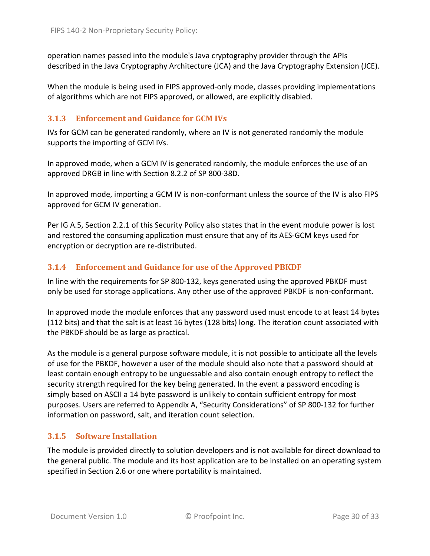operation names passed into the module's Java cryptography provider through the APIs described in the Java Cryptography Architecture (JCA) and the Java Cryptography Extension (JCE).

When the module is being used in FIPS approved-only mode, classes providing implementations of algorithms which are not FIPS approved, or allowed, are explicitly disabled.

#### **3.1.3 Enforcement and Guidance for GCM IVs**

IVs for GCM can be generated randomly, where an IV is not generated randomly the module supports the importing of GCM IVs.

In approved mode, when a GCM IV is generated randomly, the module enforces the use of an approved DRGB in line with Section 8.2.2 of SP 800‐38D.

In approved mode, importing a GCM IV is non‐conformant unless the source of the IV is also FIPS approved for GCM IV generation.

Per IG A.5, Section 2.2.1 of this Security Policy also states that in the event module power is lost and restored the consuming application must ensure that any of its AES‐GCM keys used for encryption or decryption are re‐distributed.

#### **3.1.4 Enforcement and Guidance for use of the Approved PBKDF**

In line with the requirements for SP 800‐132, keys generated using the approved PBKDF must only be used for storage applications. Any other use of the approved PBKDF is non‐conformant.

In approved mode the module enforces that any password used must encode to at least 14 bytes (112 bits) and that the salt is at least 16 bytes (128 bits) long. The iteration count associated with the PBKDF should be as large as practical.

As the module is a general purpose software module, it is not possible to anticipate all the levels of use for the PBKDF, however a user of the module should also note that a password should at least contain enough entropy to be unguessable and also contain enough entropy to reflect the security strength required for the key being generated. In the event a password encoding is simply based on ASCII a 14 byte password is unlikely to contain sufficient entropy for most purposes. Users are referred to Appendix A, "Security Considerations" of SP 800‐132 for further information on password, salt, and iteration count selection.

#### **3.1.5 Software Installation**

The module is provided directly to solution developers and is not available for direct download to the general public. The module and its host application are to be installed on an operating system specified in Section 2.6 or one where portability is maintained.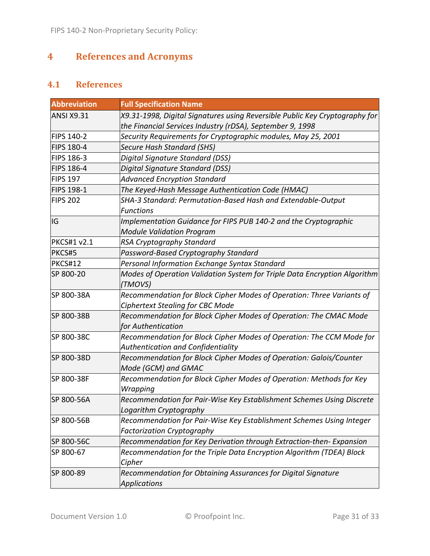# **4 References and Acronyms**

# **4.1 References**

| <b>Abbreviation</b> | <b>Full Specification Name</b>                                                                                                           |
|---------------------|------------------------------------------------------------------------------------------------------------------------------------------|
| <b>ANSI X9.31</b>   | X9.31-1998, Digital Signatures using Reversible Public Key Cryptography for<br>the Financial Services Industry (rDSA), September 9, 1998 |
| <b>FIPS 140-2</b>   | Security Requirements for Cryptographic modules, May 25, 2001                                                                            |
| <b>FIPS 180-4</b>   | <b>Secure Hash Standard (SHS)</b>                                                                                                        |
| FIPS 186-3          | Digital Signature Standard (DSS)                                                                                                         |
| <b>FIPS 186-4</b>   | Digital Signature Standard (DSS)                                                                                                         |
| <b>FIPS 197</b>     | <b>Advanced Encryption Standard</b>                                                                                                      |
| <b>FIPS 198-1</b>   | The Keyed-Hash Message Authentication Code (HMAC)                                                                                        |
| <b>FIPS 202</b>     | SHA-3 Standard: Permutation-Based Hash and Extendable-Output<br><b>Functions</b>                                                         |
| IG                  | Implementation Guidance for FIPS PUB 140-2 and the Cryptographic<br><b>Module Validation Program</b>                                     |
| <b>PKCS#1 v2.1</b>  | RSA Cryptography Standard                                                                                                                |
| PKCS#5              | Password-Based Cryptography Standard                                                                                                     |
| <b>PKCS#12</b>      | Personal Information Exchange Syntax Standard                                                                                            |
| SP 800-20           | Modes of Operation Validation System for Triple Data Encryption Algorithm<br>(TMOVS)                                                     |
| SP 800-38A          | Recommendation for Block Cipher Modes of Operation: Three Variants of<br><b>Ciphertext Stealing for CBC Mode</b>                         |
| SP 800-38B          | Recommendation for Block Cipher Modes of Operation: The CMAC Mode<br>for Authentication                                                  |
| SP 800-38C          | Recommendation for Block Cipher Modes of Operation: The CCM Mode for<br><b>Authentication and Confidentiality</b>                        |
| SP 800-38D          | Recommendation for Block Cipher Modes of Operation: Galois/Counter<br>Mode (GCM) and GMAC                                                |
| SP 800-38F          | Recommendation for Block Cipher Modes of Operation: Methods for Key<br>Wrapping                                                          |
| SP 800-56A          | Recommendation for Pair-Wise Key Establishment Schemes Using Discrete<br>Logarithm Cryptography                                          |
| SP 800-56B          | Recommendation for Pair-Wise Key Establishment Schemes Using Integer<br><b>Factorization Cryptography</b>                                |
| SP 800-56C          | Recommendation for Key Derivation through Extraction-then- Expansion                                                                     |
| SP 800-67           | Recommendation for the Triple Data Encryption Algorithm (TDEA) Block<br>Cipher                                                           |
| SP 800-89           | Recommendation for Obtaining Assurances for Digital Signature<br><b>Applications</b>                                                     |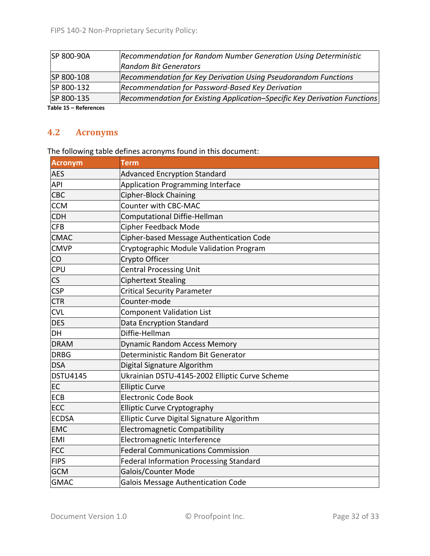| SP 800-90A          | Recommendation for Random Number Generation Using Deterministic           |
|---------------------|---------------------------------------------------------------------------|
|                     | <b>Random Bit Generators</b>                                              |
| SP 800-108          | Recommendation for Key Derivation Using Pseudorandom Functions            |
| SP 800-132          | Recommendation for Password-Based Key Derivation                          |
| SP 800-135          | Recommendation for Existing Application-Specific Key Derivation Functions |
| Tebla 15 Defensesse |                                                                           |

**Table 15 – References**

# **4.2 Acronyms**

The following table defines acronyms found in this document:

| <b>Acronym</b>         | <b>Term</b>                                    |
|------------------------|------------------------------------------------|
| <b>AES</b>             | <b>Advanced Encryption Standard</b>            |
| <b>API</b>             | Application Programming Interface              |
| CBC                    | <b>Cipher-Block Chaining</b>                   |
| <b>CCM</b>             | <b>Counter with CBC-MAC</b>                    |
| <b>CDH</b>             | <b>Computational Diffie-Hellman</b>            |
| <b>CFB</b>             | <b>Cipher Feedback Mode</b>                    |
| <b>CMAC</b>            | Cipher-based Message Authentication Code       |
| <b>CMVP</b>            | Cryptographic Module Validation Program        |
| CO                     | Crypto Officer                                 |
| CPU                    | <b>Central Processing Unit</b>                 |
| $\overline{\text{CS}}$ | <b>Ciphertext Stealing</b>                     |
| <b>CSP</b>             | <b>Critical Security Parameter</b>             |
| <b>CTR</b>             | Counter-mode                                   |
| <b>CVL</b>             | <b>Component Validation List</b>               |
| <b>DES</b>             | Data Encryption Standard                       |
| DH                     | Diffie-Hellman                                 |
| <b>DRAM</b>            | <b>Dynamic Random Access Memory</b>            |
| <b>DRBG</b>            | Deterministic Random Bit Generator             |
| <b>DSA</b>             | Digital Signature Algorithm                    |
| <b>DSTU4145</b>        | Ukrainian DSTU-4145-2002 Elliptic Curve Scheme |
| EC                     | <b>Elliptic Curve</b>                          |
| <b>ECB</b>             | <b>Electronic Code Book</b>                    |
| ECC                    | <b>Elliptic Curve Cryptography</b>             |
| <b>ECDSA</b>           | Elliptic Curve Digital Signature Algorithm     |
| <b>EMC</b>             | <b>Electromagnetic Compatibility</b>           |
| <b>EMI</b>             | Electromagnetic Interference                   |
| <b>FCC</b>             | <b>Federal Communications Commission</b>       |
| <b>FIPS</b>            | Federal Information Processing Standard        |
| <b>GCM</b>             | Galois/Counter Mode                            |
| <b>GMAC</b>            | Galois Message Authentication Code             |